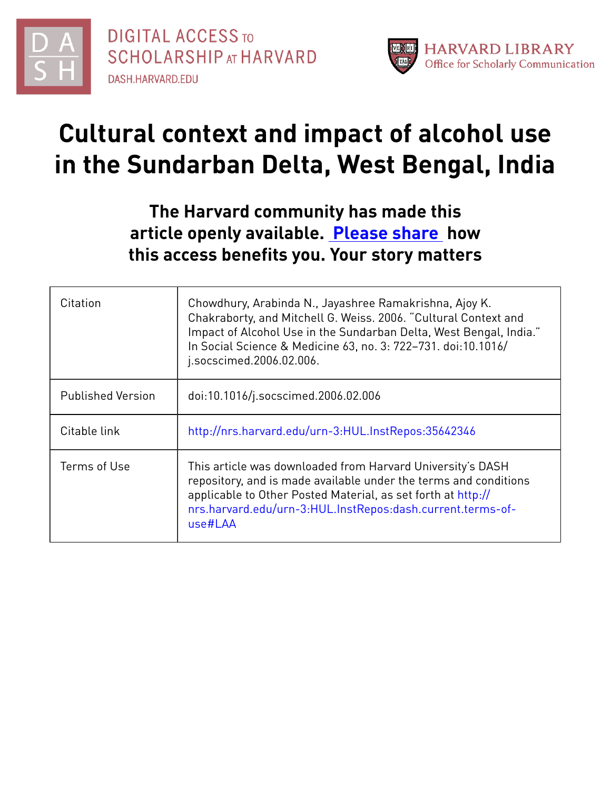



# **Cultural context and impact of alcohol use in the Sundarban Delta, West Bengal, India**

**The Harvard community has made this article openly available. [Please](http://osc.hul.harvard.edu/dash/open-access-feedback?handle=&title=Cultural%20context%20and%20impact%20of%20alcohol%20use%20in%20the%20Sundarban%20Delta,%20West%20Bengal,%20India&community=1/4454685&collection=1/4454686&owningCollection1/4454686&harvardAuthors=09f669aa4e853b06e63d4fa422429341&department) share how this access benefits you. Your story matters**

| Citation                 | Chowdhury, Arabinda N., Jayashree Ramakrishna, Ajoy K.<br>Chakraborty, and Mitchell G. Weiss. 2006. "Cultural Context and<br>Impact of Alcohol Use in the Sundarban Delta, West Bengal, India."<br>In Social Science & Medicine 63, no. 3: 722-731. doi:10.1016/<br>j.socscimed.2006.02.006. |
|--------------------------|----------------------------------------------------------------------------------------------------------------------------------------------------------------------------------------------------------------------------------------------------------------------------------------------|
| <b>Published Version</b> | doi:10.1016/j.socscimed.2006.02.006                                                                                                                                                                                                                                                          |
| Citable link             | http://nrs.harvard.edu/urn-3:HUL.InstRepos:35642346                                                                                                                                                                                                                                          |
| Terms of Use             | This article was downloaded from Harvard University's DASH<br>repository, and is made available under the terms and conditions<br>applicable to Other Posted Material, as set forth at http://<br>nrs.harvard.edu/urn-3:HUL.InstRepos:dash.current.terms-of-<br>use#LAA                      |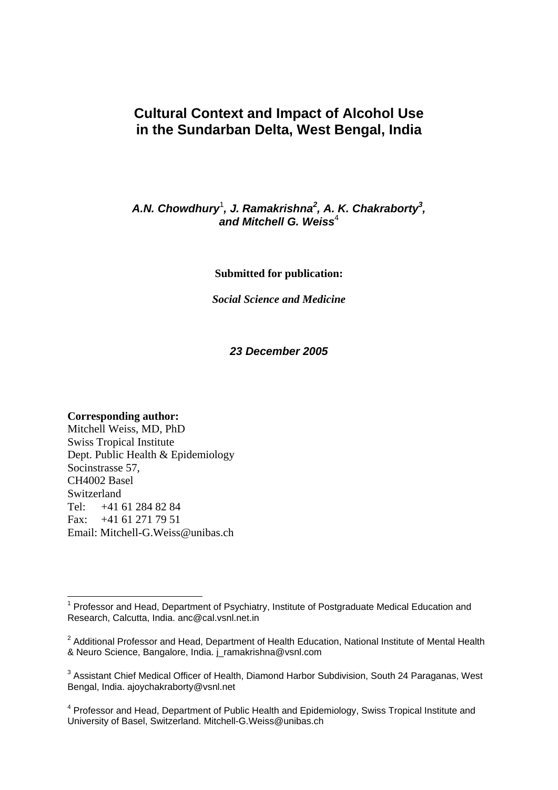## **Cultural Context and Impact of Alcohol Use in the Sundarban Delta, West Bengal, India**

## A.N. Chowdhury<sup>1</sup>, J. Ramakrishna<sup>2</sup>, A. K. Chakraborty<sup>3</sup>, and Mitchell G. Weiss<sup>4</sup>

#### **Submitted for publication:**

*Social Science and Medicine*

#### *23 December 2005*

#### **Corresponding author:** Mitchell Weiss, MD, PhD

1

Swiss Tropical Institute Dept. Public Health & Epidemiology Socinstrasse 57, CH4002 Basel Switzerland Tel: +41 61 284 82 84 Fax: +41 61 271 79 51 Email: Mitchell-G.Weiss@unibas.ch

<sup>&</sup>lt;sup>1</sup> Professor and Head, Department of Psychiatry, Institute of Postgraduate Medical Education and Research, Calcutta, India. anc@cal.vsnl.net.in

 $2$  Additional Professor and Head, Department of Health Education, National Institute of Mental Health & Neuro Science, Bangalore, India. j\_ramakrishna@vsnl.com

<sup>&</sup>lt;sup>3</sup> Assistant Chief Medical Officer of Health, Diamond Harbor Subdivision, South 24 Paraganas, West Bengal, India. ajoychakraborty@vsnl.net

<sup>&</sup>lt;sup>4</sup> Professor and Head, Department of Public Health and Epidemiology, Swiss Tropical Institute and University of Basel, Switzerland. Mitchell-G.Weiss@unibas.ch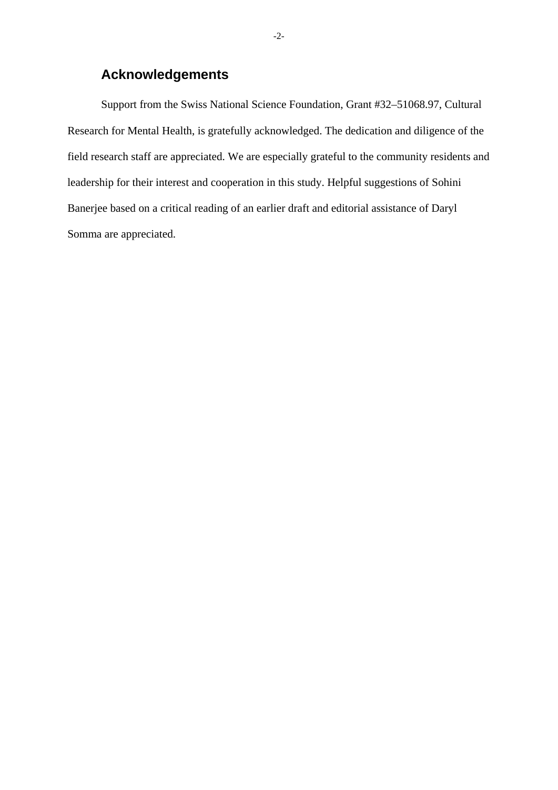## **Acknowledgements**

Support from the Swiss National Science Foundation, Grant #32–51068.97, Cultural Research for Mental Health, is gratefully acknowledged. The dedication and diligence of the field research staff are appreciated. We are especially grateful to the community residents and leadership for their interest and cooperation in this study. Helpful suggestions of Sohini Banerjee based on a critical reading of an earlier draft and editorial assistance of Daryl Somma are appreciated.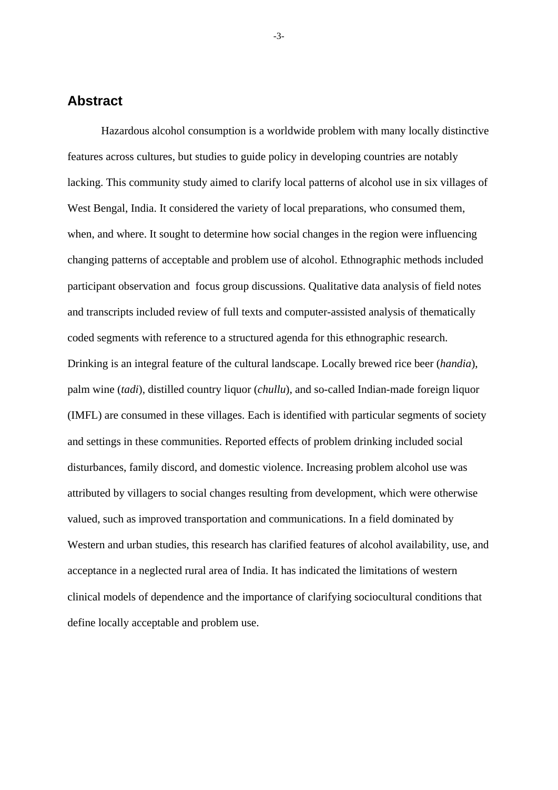## **Abstract**

Hazardous alcohol consumption is a worldwide problem with many locally distinctive features across cultures, but studies to guide policy in developing countries are notably lacking. This community study aimed to clarify local patterns of alcohol use in six villages of West Bengal, India. It considered the variety of local preparations, who consumed them, when, and where. It sought to determine how social changes in the region were influencing changing patterns of acceptable and problem use of alcohol. Ethnographic methods included participant observation and focus group discussions. Qualitative data analysis of field notes and transcripts included review of full texts and computer-assisted analysis of thematically coded segments with reference to a structured agenda for this ethnographic research. Drinking is an integral feature of the cultural landscape. Locally brewed rice beer (*handia*), palm wine (*tadi*), distilled country liquor (*chullu*), and so-called Indian-made foreign liquor (IMFL) are consumed in these villages. Each is identified with particular segments of society and settings in these communities. Reported effects of problem drinking included social disturbances, family discord, and domestic violence. Increasing problem alcohol use was attributed by villagers to social changes resulting from development, which were otherwise valued, such as improved transportation and communications. In a field dominated by Western and urban studies, this research has clarified features of alcohol availability, use, and acceptance in a neglected rural area of India. It has indicated the limitations of western clinical models of dependence and the importance of clarifying sociocultural conditions that define locally acceptable and problem use.

-3-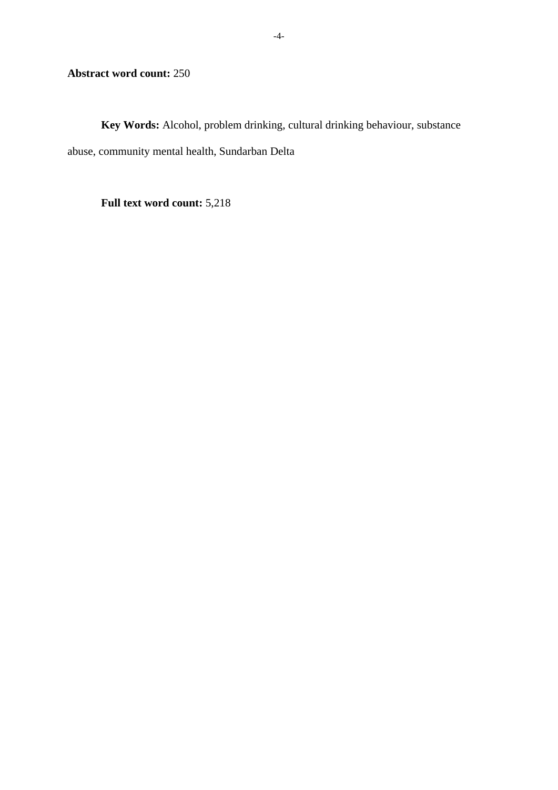**Key Words:** Alcohol, problem drinking, cultural drinking behaviour, substance abuse, community mental health, Sundarban Delta

**Full text word count:** 5,218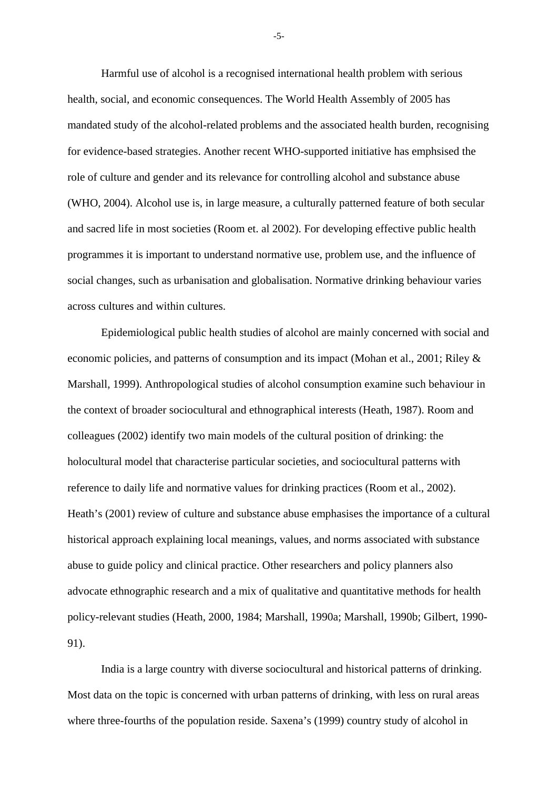Harmful use of alcohol is a recognised international health problem with serious health, social, and economic consequences. The World Health Assembly of 2005 has mandated study of the alcohol-related problems and the associated health burden, recognising for evidence-based strategies. Another recent WHO-supported initiative has emphsised the role of culture and gender and its relevance for controlling alcohol and substance abuse (WHO, 2004). Alcohol use is, in large measure, a culturally patterned feature of both secular and sacred life in most societies (Room et. al 2002). For developing effective public health programmes it is important to understand normative use, problem use, and the influence of social changes, such as urbanisation and globalisation. Normative drinking behaviour varies across cultures and within cultures.

Epidemiological public health studies of alcohol are mainly concerned with social and economic policies, and patterns of consumption and its impact (Mohan et al., 2001; Riley & Marshall, 1999). Anthropological studies of alcohol consumption examine such behaviour in the context of broader sociocultural and ethnographical interests (Heath, 1987). Room and colleagues (2002) identify two main models of the cultural position of drinking: the holocultural model that characterise particular societies, and sociocultural patterns with reference to daily life and normative values for drinking practices (Room et al., 2002). Heath's (2001) review of culture and substance abuse emphasises the importance of a cultural historical approach explaining local meanings, values, and norms associated with substance abuse to guide policy and clinical practice. Other researchers and policy planners also advocate ethnographic research and a mix of qualitative and quantitative methods for health policy-relevant studies (Heath, 2000, 1984; Marshall, 1990a; Marshall, 1990b; Gilbert, 1990- 91).

India is a large country with diverse sociocultural and historical patterns of drinking. Most data on the topic is concerned with urban patterns of drinking, with less on rural areas where three-fourths of the population reside. Saxena's (1999) country study of alcohol in

-5-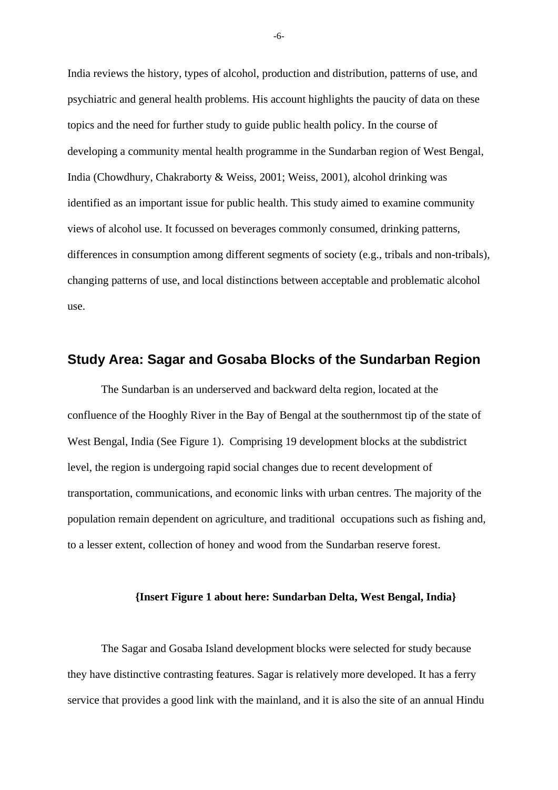India reviews the history, types of alcohol, production and distribution, patterns of use, and psychiatric and general health problems. His account highlights the paucity of data on these topics and the need for further study to guide public health policy. In the course of developing a community mental health programme in the Sundarban region of West Bengal, India (Chowdhury, Chakraborty & Weiss, 2001; Weiss, 2001), alcohol drinking was identified as an important issue for public health. This study aimed to examine community views of alcohol use. It focussed on beverages commonly consumed, drinking patterns, differences in consumption among different segments of society (e.g., tribals and non-tribals), changing patterns of use, and local distinctions between acceptable and problematic alcohol use.

## **Study Area: Sagar and Gosaba Blocks of the Sundarban Region**

The Sundarban is an underserved and backward delta region, located at the confluence of the Hooghly River in the Bay of Bengal at the southernmost tip of the state of West Bengal, India (See Figure 1). Comprising 19 development blocks at the subdistrict level, the region is undergoing rapid social changes due to recent development of transportation, communications, and economic links with urban centres. The majority of the population remain dependent on agriculture, and traditional occupations such as fishing and, to a lesser extent, collection of honey and wood from the Sundarban reserve forest.

#### **{Insert Figure 1 about here: Sundarban Delta, West Bengal, India}**

The Sagar and Gosaba Island development blocks were selected for study because they have distinctive contrasting features. Sagar is relatively more developed. It has a ferry service that provides a good link with the mainland, and it is also the site of an annual Hindu

-6-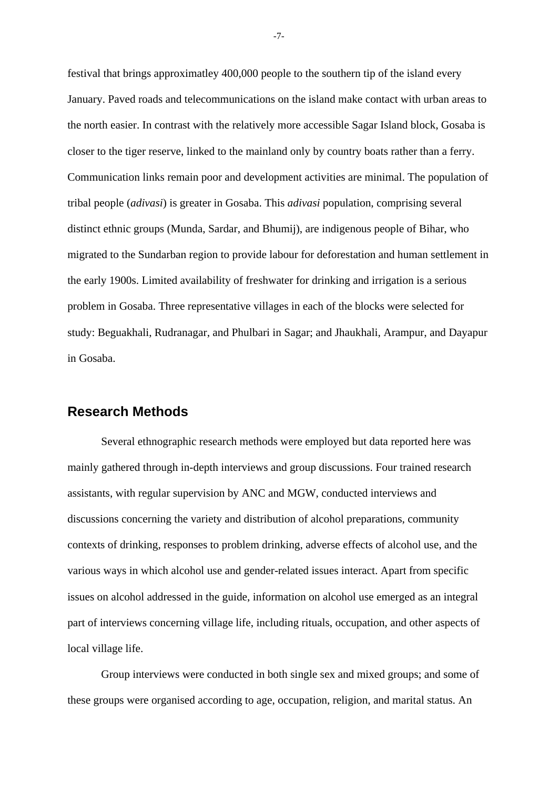festival that brings approximatley 400,000 people to the southern tip of the island every January. Paved roads and telecommunications on the island make contact with urban areas to the north easier. In contrast with the relatively more accessible Sagar Island block, Gosaba is closer to the tiger reserve, linked to the mainland only by country boats rather than a ferry. Communication links remain poor and development activities are minimal. The population of tribal people (*adivasi*) is greater in Gosaba. This *adivasi* population, comprising several distinct ethnic groups (Munda, Sardar, and Bhumij), are indigenous people of Bihar, who migrated to the Sundarban region to provide labour for deforestation and human settlement in the early 1900s. Limited availability of freshwater for drinking and irrigation is a serious problem in Gosaba. Three representative villages in each of the blocks were selected for study: Beguakhali, Rudranagar, and Phulbari in Sagar; and Jhaukhali, Arampur, and Dayapur in Gosaba.

## **Research Methods**

Several ethnographic research methods were employed but data reported here was mainly gathered through in-depth interviews and group discussions. Four trained research assistants, with regular supervision by ANC and MGW, conducted interviews and discussions concerning the variety and distribution of alcohol preparations, community contexts of drinking, responses to problem drinking, adverse effects of alcohol use, and the various ways in which alcohol use and gender-related issues interact. Apart from specific issues on alcohol addressed in the guide, information on alcohol use emerged as an integral part of interviews concerning village life, including rituals, occupation, and other aspects of local village life.

Group interviews were conducted in both single sex and mixed groups; and some of these groups were organised according to age, occupation, religion, and marital status. An

-7-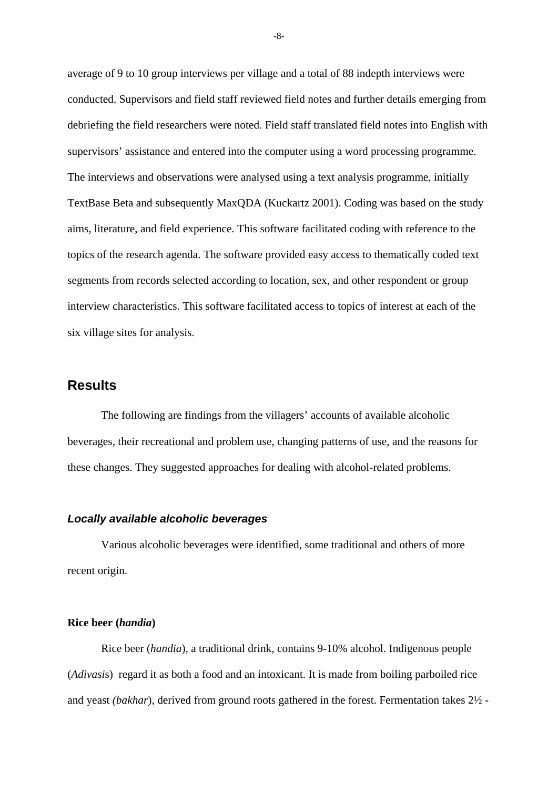average of 9 to 10 group interviews per village and a total of 88 indepth interviews were conducted. Supervisors and field staff reviewed field notes and further details emerging from debriefing the field researchers were noted. Field staff translated field notes into English with supervisors' assistance and entered into the computer using a word processing programme. The interviews and observations were analysed using a text analysis programme, initially TextBase Beta and subsequently MaxQDA (Kuckartz 2001). Coding was based on the study aims, literature, and field experience. This software facilitated coding with reference to the topics of the research agenda. The software provided easy access to thematically coded text segments from records selected according to location, sex, and other respondent or group interview characteristics. This software facilitated access to topics of interest at each of the six village sites for analysis.

## **Results**

The following are findings from the villagers' accounts of available alcoholic beverages, their recreational and problem use, changing patterns of use, and the reasons for these changes. They suggested approaches for dealing with alcohol-related problems.

#### *Locally available alcoholic beverages*

Various alcoholic beverages were identified, some traditional and others of more recent origin.

#### **Rice beer (***handia***)**

Rice beer (*handia*), a traditional drink, contains 9-10% alcohol. Indigenous people (*Adivasi*s) regard it as both a food and an intoxicant. It is made from boiling parboiled rice and yeast *(bakhar*), derived from ground roots gathered in the forest. Fermentation takes 2½ -

-8-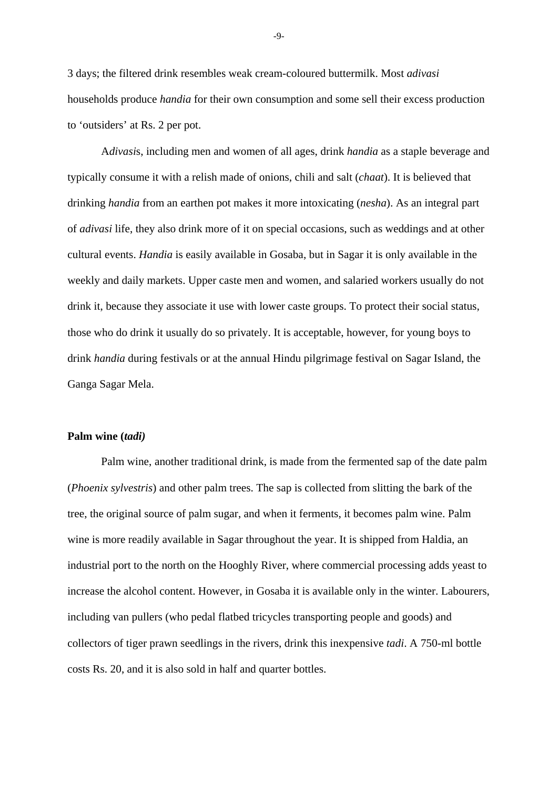3 days; the filtered drink resembles weak cream-coloured buttermilk. Most *adivasi* households produce *handia* for their own consumption and some sell their excess production to 'outsiders' at Rs. 2 per pot.

A*divasi*s, including men and women of all ages, drink *handia* as a staple beverage and typically consume it with a relish made of onions, chili and salt (*chaat*). It is believed that drinking *handia* from an earthen pot makes it more intoxicating (*nesha*). As an integral part of *adivasi* life, they also drink more of it on special occasions, such as weddings and at other cultural events. *Handia* is easily available in Gosaba, but in Sagar it is only available in the weekly and daily markets. Upper caste men and women, and salaried workers usually do not drink it, because they associate it use with lower caste groups. To protect their social status, those who do drink it usually do so privately. It is acceptable, however, for young boys to drink *handia* during festivals or at the annual Hindu pilgrimage festival on Sagar Island, the Ganga Sagar Mela.

#### **Palm wine (***tadi)*

Palm wine, another traditional drink, is made from the fermented sap of the date palm (*Phoenix sylvestris*) and other palm trees. The sap is collected from slitting the bark of the tree, the original source of palm sugar, and when it ferments, it becomes palm wine. Palm wine is more readily available in Sagar throughout the year. It is shipped from Haldia, an industrial port to the north on the Hooghly River, where commercial processing adds yeast to increase the alcohol content. However, in Gosaba it is available only in the winter. Labourers, including van pullers (who pedal flatbed tricycles transporting people and goods) and collectors of tiger prawn seedlings in the rivers, drink this inexpensive *tadi*. A 750-ml bottle costs Rs. 20, and it is also sold in half and quarter bottles.

-9-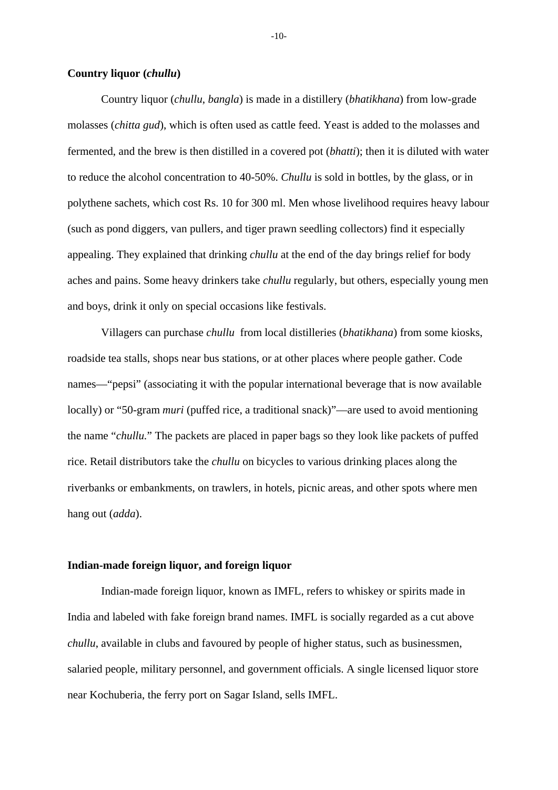#### **Country liquor (***chullu***)**

Country liquor (*chullu*, *bangla*) is made in a distillery (*bhatikhana*) from low-grade molasses (*chitta gud*), which is often used as cattle feed. Yeast is added to the molasses and fermented, and the brew is then distilled in a covered pot (*bhatti*); then it is diluted with water to reduce the alcohol concentration to 40-50%. *Chullu* is sold in bottles, by the glass, or in polythene sachets, which cost Rs. 10 for 300 ml. Men whose livelihood requires heavy labour (such as pond diggers, van pullers, and tiger prawn seedling collectors) find it especially appealing. They explained that drinking *chullu* at the end of the day brings relief for body aches and pains. Some heavy drinkers take *chullu* regularly, but others, especially young men and boys, drink it only on special occasions like festivals.

Villagers can purchase *chullu* from local distilleries (*bhatikhana*) from some kiosks, roadside tea stalls, shops near bus stations, or at other places where people gather. Code names—"pepsi" (associating it with the popular international beverage that is now available locally) or "50-gram *muri* (puffed rice, a traditional snack)"—are used to avoid mentioning the name "*chullu.*" The packets are placed in paper bags so they look like packets of puffed rice. Retail distributors take the *chullu* on bicycles to various drinking places along the riverbanks or embankments, on trawlers, in hotels, picnic areas, and other spots where men hang out (*adda*).

#### **Indian-made foreign liquor, and foreign liquor**

Indian-made foreign liquor, known as IMFL, refers to whiskey or spirits made in India and labeled with fake foreign brand names. IMFL is socially regarded as a cut above *chullu*, available in clubs and favoured by people of higher status, such as businessmen, salaried people, military personnel, and government officials. A single licensed liquor store near Kochuberia, the ferry port on Sagar Island, sells IMFL.

-10-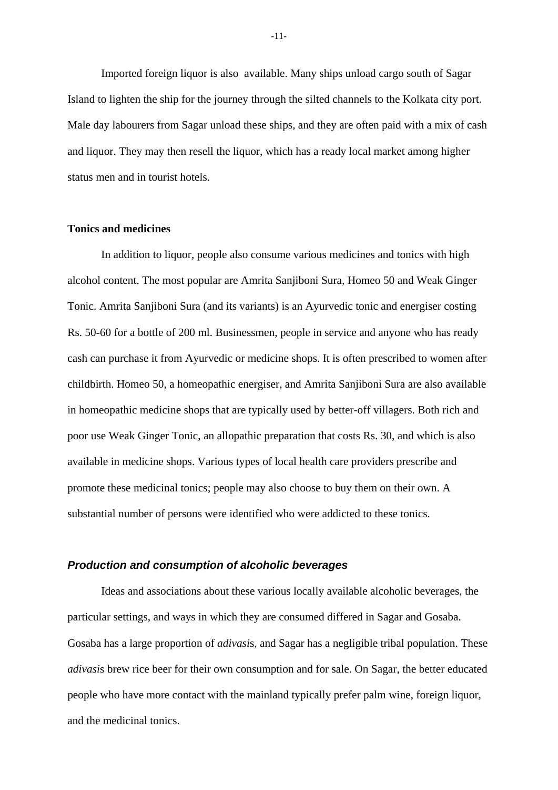Imported foreign liquor is also available. Many ships unload cargo south of Sagar Island to lighten the ship for the journey through the silted channels to the Kolkata city port. Male day labourers from Sagar unload these ships, and they are often paid with a mix of cash and liquor. They may then resell the liquor, which has a ready local market among higher status men and in tourist hotels.

#### **Tonics and medicines**

In addition to liquor, people also consume various medicines and tonics with high alcohol content. The most popular are Amrita Sanjiboni Sura, Homeo 50 and Weak Ginger Tonic. Amrita Sanjiboni Sura (and its variants) is an Ayurvedic tonic and energiser costing Rs. 50-60 for a bottle of 200 ml. Businessmen, people in service and anyone who has ready cash can purchase it from Ayurvedic or medicine shops. It is often prescribed to women after childbirth. Homeo 50, a homeopathic energiser, and Amrita Sanjiboni Sura are also available in homeopathic medicine shops that are typically used by better-off villagers. Both rich and poor use Weak Ginger Tonic, an allopathic preparation that costs Rs. 30, and which is also available in medicine shops. Various types of local health care providers prescribe and promote these medicinal tonics; people may also choose to buy them on their own. A substantial number of persons were identified who were addicted to these tonics.

#### *Production and consumption of alcoholic beverages*

Ideas and associations about these various locally available alcoholic beverages, the particular settings, and ways in which they are consumed differed in Sagar and Gosaba. Gosaba has a large proportion of *adivasi*s, and Sagar has a negligible tribal population. These *adivasi*s brew rice beer for their own consumption and for sale. On Sagar, the better educated people who have more contact with the mainland typically prefer palm wine, foreign liquor, and the medicinal tonics.

-11-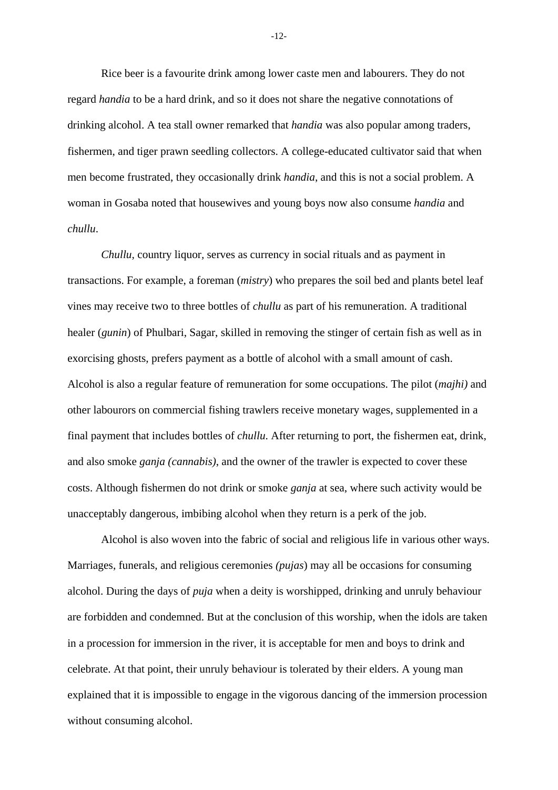Rice beer is a favourite drink among lower caste men and labourers. They do not regard *handia* to be a hard drink, and so it does not share the negative connotations of drinking alcohol. A tea stall owner remarked that *handia* was also popular among traders, fishermen, and tiger prawn seedling collectors. A college-educated cultivator said that when men become frustrated, they occasionally drink *handia*, and this is not a social problem. A woman in Gosaba noted that housewives and young boys now also consume *handia* and *chullu*.

*Chullu,* country liquor*,* serves as currency in social rituals and as payment in transactions. For example, a foreman (*mistry*) who prepares the soil bed and plants betel leaf vines may receive two to three bottles of *chullu* as part of his remuneration. A traditional healer (*gunin*) of Phulbari, Sagar, skilled in removing the stinger of certain fish as well as in exorcising ghosts, prefers payment as a bottle of alcohol with a small amount of cash. Alcohol is also a regular feature of remuneration for some occupations. The pilot (*majhi)* and other labourors on commercial fishing trawlers receive monetary wages, supplemented in a final payment that includes bottles of *chullu*. After returning to port, the fishermen eat, drink, and also smoke *ganja (cannabis)*, and the owner of the trawler is expected to cover these costs. Although fishermen do not drink or smoke *ganja* at sea, where such activity would be unacceptably dangerous, imbibing alcohol when they return is a perk of the job.

Alcohol is also woven into the fabric of social and religious life in various other ways. Marriages, funerals, and religious ceremonies *(pujas*) may all be occasions for consuming alcohol. During the days of *puja* when a deity is worshipped, drinking and unruly behaviour are forbidden and condemned. But at the conclusion of this worship, when the idols are taken in a procession for immersion in the river, it is acceptable for men and boys to drink and celebrate. At that point, their unruly behaviour is tolerated by their elders. A young man explained that it is impossible to engage in the vigorous dancing of the immersion procession without consuming alcohol.

-12-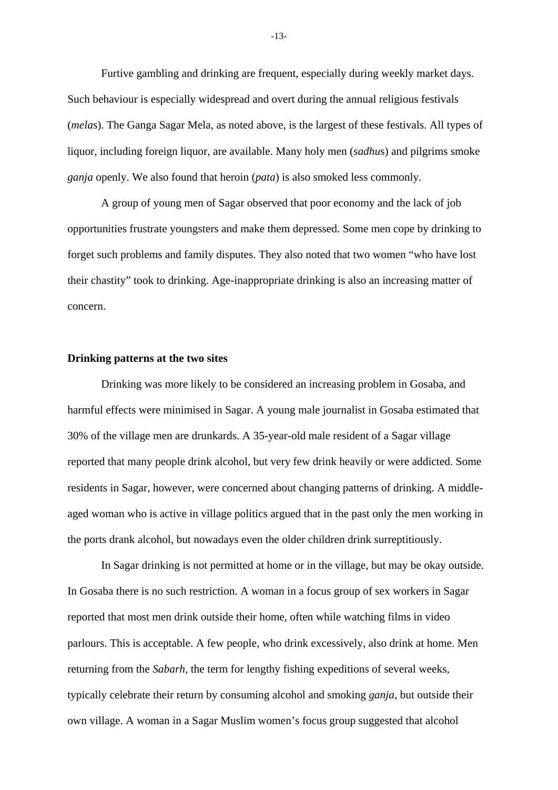Furtive gambling and drinking are frequent, especially during weekly market days. Such behaviour is especially widespread and overt during the annual religious festivals (*mela*s). The Ganga Sagar Mela, as noted above, is the largest of these festivals. All types of liquor, including foreign liquor, are available. Many holy men (*sadhu*s) and pilgrims smoke *ganja* openly. We also found that heroin (*pata*) is also smoked less commonly.

A group of young men of Sagar observed that poor economy and the lack of job opportunities frustrate youngsters and make them depressed. Some men cope by drinking to forget such problems and family disputes. They also noted that two women "who have lost their chastity" took to drinking. Age-inappropriate drinking is also an increasing matter of concern.

#### **Drinking patterns at the two sites**

Drinking was more likely to be considered an increasing problem in Gosaba, and harmful effects were minimised in Sagar. A young male journalist in Gosaba estimated that 30% of the village men are drunkards. A 35-year-old male resident of a Sagar village reported that many people drink alcohol, but very few drink heavily or were addicted. Some residents in Sagar, however, were concerned about changing patterns of drinking. A middleaged woman who is active in village politics argued that in the past only the men working in the ports drank alcohol, but nowadays even the older children drink surreptitiously.

 In Sagar drinking is not permitted at home or in the village, but may be okay outside. In Gosaba there is no such restriction. A woman in a focus group of sex workers in Sagar reported that most men drink outside their home, often while watching films in video parlours. This is acceptable. A few people, who drink excessively, also drink at home. Men returning from the *Sabarh,* the term for lengthy fishing expeditions of several weeks, typically celebrate their return by consuming alcohol and smoking *ganja*, but outside their own village. A woman in a Sagar Muslim women's focus group suggested that alcohol

-13-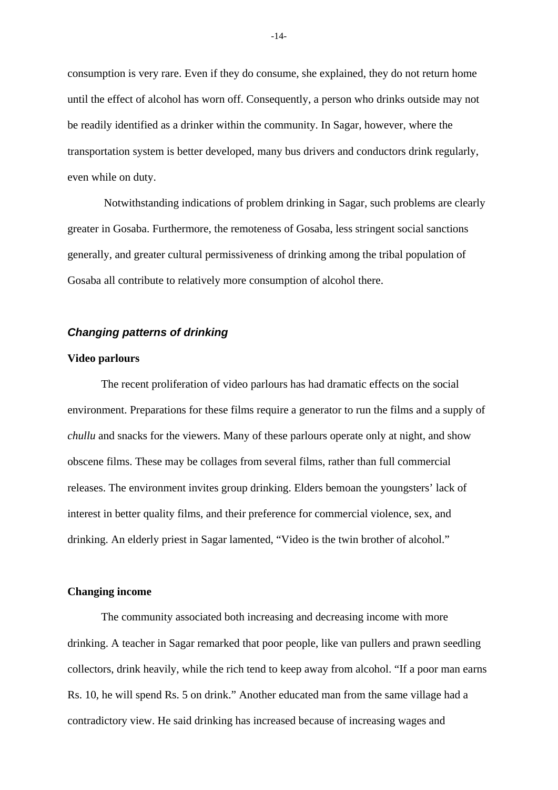consumption is very rare. Even if they do consume, she explained, they do not return home until the effect of alcohol has worn off. Consequently, a person who drinks outside may not be readily identified as a drinker within the community. In Sagar, however, where the transportation system is better developed, many bus drivers and conductors drink regularly, even while on duty.

 Notwithstanding indications of problem drinking in Sagar, such problems are clearly greater in Gosaba. Furthermore, the remoteness of Gosaba, less stringent social sanctions generally, and greater cultural permissiveness of drinking among the tribal population of Gosaba all contribute to relatively more consumption of alcohol there.

#### *Changing patterns of drinking*

#### **Video parlours**

The recent proliferation of video parlours has had dramatic effects on the social environment. Preparations for these films require a generator to run the films and a supply of *chullu* and snacks for the viewers. Many of these parlours operate only at night, and show obscene films. These may be collages from several films, rather than full commercial releases. The environment invites group drinking. Elders bemoan the youngsters' lack of interest in better quality films, and their preference for commercial violence, sex, and drinking. An elderly priest in Sagar lamented, "Video is the twin brother of alcohol."

## **Changing income**

The community associated both increasing and decreasing income with more drinking. A teacher in Sagar remarked that poor people, like van pullers and prawn seedling collectors, drink heavily, while the rich tend to keep away from alcohol. "If a poor man earns Rs. 10, he will spend Rs. 5 on drink." Another educated man from the same village had a contradictory view. He said drinking has increased because of increasing wages and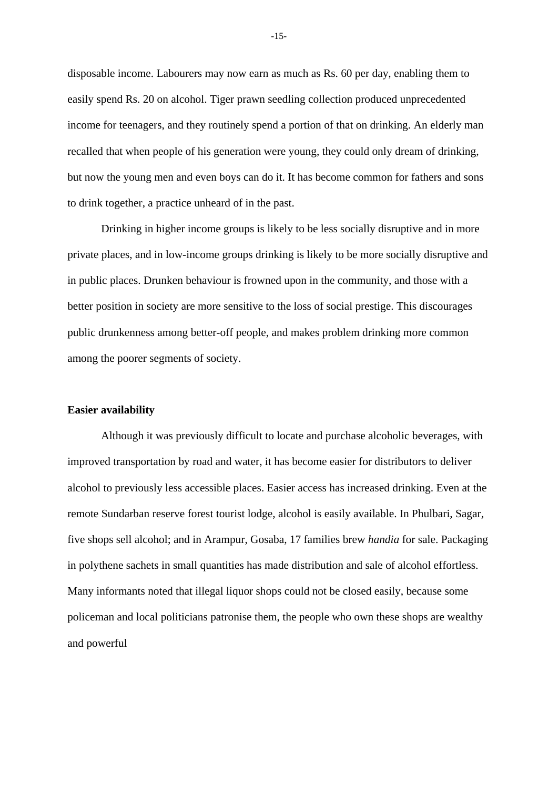disposable income. Labourers may now earn as much as Rs. 60 per day, enabling them to easily spend Rs. 20 on alcohol. Tiger prawn seedling collection produced unprecedented income for teenagers, and they routinely spend a portion of that on drinking. An elderly man recalled that when people of his generation were young, they could only dream of drinking, but now the young men and even boys can do it. It has become common for fathers and sons to drink together, a practice unheard of in the past.

Drinking in higher income groups is likely to be less socially disruptive and in more private places, and in low-income groups drinking is likely to be more socially disruptive and in public places. Drunken behaviour is frowned upon in the community, and those with a better position in society are more sensitive to the loss of social prestige. This discourages public drunkenness among better-off people, and makes problem drinking more common among the poorer segments of society.

#### **Easier availability**

Although it was previously difficult to locate and purchase alcoholic beverages, with improved transportation by road and water, it has become easier for distributors to deliver alcohol to previously less accessible places. Easier access has increased drinking. Even at the remote Sundarban reserve forest tourist lodge, alcohol is easily available. In Phulbari, Sagar, five shops sell alcohol; and in Arampur, Gosaba, 17 families brew *handia* for sale. Packaging in polythene sachets in small quantities has made distribution and sale of alcohol effortless. Many informants noted that illegal liquor shops could not be closed easily, because some policeman and local politicians patronise them, the people who own these shops are wealthy and powerful

-15-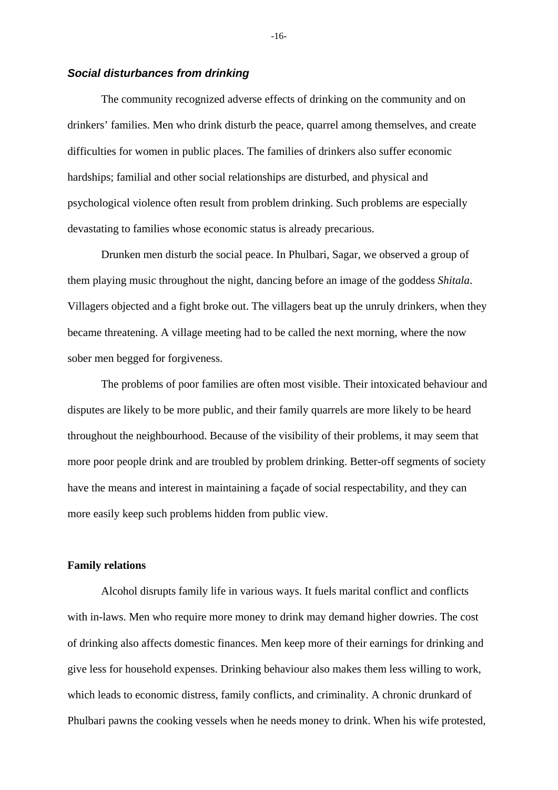#### *Social disturbances from drinking*

The community recognized adverse effects of drinking on the community and on drinkers' families. Men who drink disturb the peace, quarrel among themselves, and create difficulties for women in public places. The families of drinkers also suffer economic hardships; familial and other social relationships are disturbed, and physical and psychological violence often result from problem drinking. Such problems are especially devastating to families whose economic status is already precarious.

Drunken men disturb the social peace. In Phulbari, Sagar, we observed a group of them playing music throughout the night, dancing before an image of the goddess *Shitala*. Villagers objected and a fight broke out. The villagers beat up the unruly drinkers, when they became threatening. A village meeting had to be called the next morning, where the now sober men begged for forgiveness.

The problems of poor families are often most visible. Their intoxicated behaviour and disputes are likely to be more public, and their family quarrels are more likely to be heard throughout the neighbourhood. Because of the visibility of their problems, it may seem that more poor people drink and are troubled by problem drinking. Better-off segments of society have the means and interest in maintaining a façade of social respectability, and they can more easily keep such problems hidden from public view.

#### **Family relations**

Alcohol disrupts family life in various ways. It fuels marital conflict and conflicts with in-laws. Men who require more money to drink may demand higher dowries. The cost of drinking also affects domestic finances. Men keep more of their earnings for drinking and give less for household expenses. Drinking behaviour also makes them less willing to work, which leads to economic distress, family conflicts, and criminality. A chronic drunkard of Phulbari pawns the cooking vessels when he needs money to drink. When his wife protested,

-16-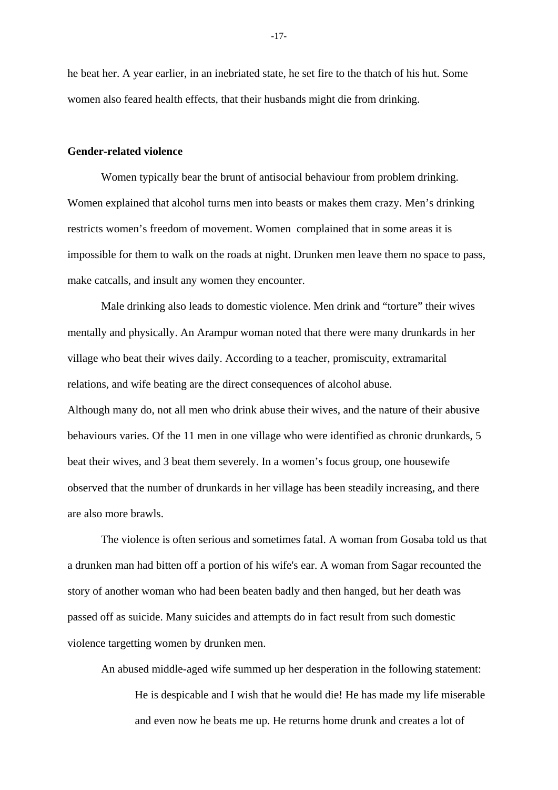he beat her. A year earlier, in an inebriated state, he set fire to the thatch of his hut. Some women also feared health effects, that their husbands might die from drinking.

#### **Gender-related violence**

Women typically bear the brunt of antisocial behaviour from problem drinking. Women explained that alcohol turns men into beasts or makes them crazy. Men's drinking restricts women's freedom of movement. Women complained that in some areas it is impossible for them to walk on the roads at night. Drunken men leave them no space to pass, make catcalls, and insult any women they encounter.

Male drinking also leads to domestic violence. Men drink and "torture" their wives mentally and physically. An Arampur woman noted that there were many drunkards in her village who beat their wives daily. According to a teacher, promiscuity, extramarital relations, and wife beating are the direct consequences of alcohol abuse.

Although many do, not all men who drink abuse their wives, and the nature of their abusive behaviours varies. Of the 11 men in one village who were identified as chronic drunkards, 5 beat their wives, and 3 beat them severely. In a women's focus group, one housewife observed that the number of drunkards in her village has been steadily increasing, and there are also more brawls.

The violence is often serious and sometimes fatal. A woman from Gosaba told us that a drunken man had bitten off a portion of his wife's ear. A woman from Sagar recounted the story of another woman who had been beaten badly and then hanged, but her death was passed off as suicide. Many suicides and attempts do in fact result from such domestic violence targetting women by drunken men.

An abused middle-aged wife summed up her desperation in the following statement: He is despicable and I wish that he would die! He has made my life miserable and even now he beats me up. He returns home drunk and creates a lot of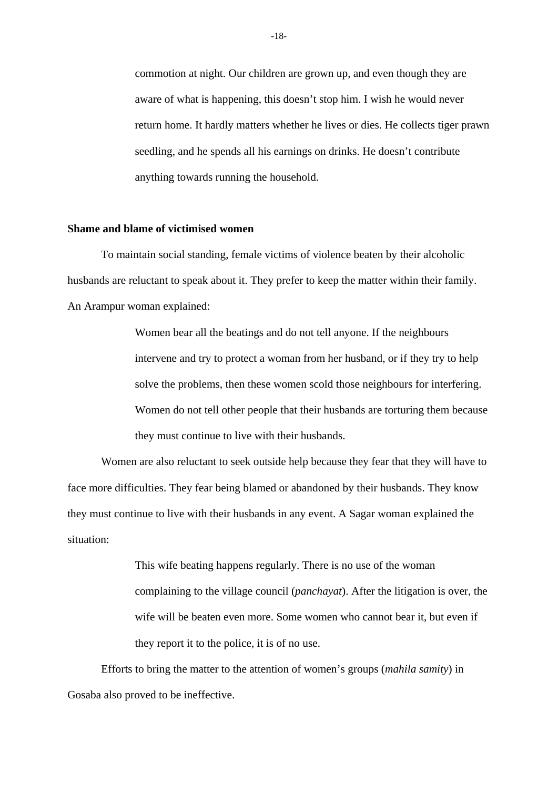commotion at night. Our children are grown up, and even though they are aware of what is happening, this doesn't stop him. I wish he would never return home. It hardly matters whether he lives or dies. He collects tiger prawn seedling, and he spends all his earnings on drinks. He doesn't contribute anything towards running the household.

#### **Shame and blame of victimised women**

To maintain social standing, female victims of violence beaten by their alcoholic husbands are reluctant to speak about it. They prefer to keep the matter within their family. An Arampur woman explained:

> Women bear all the beatings and do not tell anyone. If the neighbours intervene and try to protect a woman from her husband, or if they try to help solve the problems, then these women scold those neighbours for interfering. Women do not tell other people that their husbands are torturing them because they must continue to live with their husbands.

Women are also reluctant to seek outside help because they fear that they will have to face more difficulties. They fear being blamed or abandoned by their husbands. They know they must continue to live with their husbands in any event. A Sagar woman explained the situation:

> This wife beating happens regularly. There is no use of the woman complaining to the village council (*panchayat*). After the litigation is over, the wife will be beaten even more. Some women who cannot bear it, but even if they report it to the police, it is of no use.

Efforts to bring the matter to the attention of women's groups (*mahila samity*) in Gosaba also proved to be ineffective.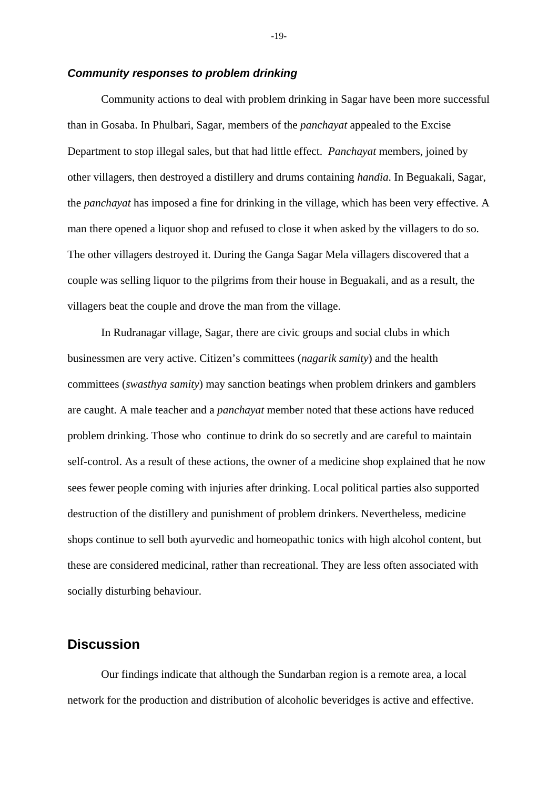#### *Community responses to problem drinking*

Community actions to deal with problem drinking in Sagar have been more successful than in Gosaba. In Phulbari, Sagar, members of the *panchayat* appealed to the Excise Department to stop illegal sales, but that had little effect. *Panchayat* members, joined by other villagers, then destroyed a distillery and drums containing *handia*. In Beguakali, Sagar, the *panchayat* has imposed a fine for drinking in the village, which has been very effective. A man there opened a liquor shop and refused to close it when asked by the villagers to do so. The other villagers destroyed it. During the Ganga Sagar Mela villagers discovered that a couple was selling liquor to the pilgrims from their house in Beguakali, and as a result, the villagers beat the couple and drove the man from the village.

In Rudranagar village, Sagar, there are civic groups and social clubs in which businessmen are very active. Citizen's committees (*nagarik samity*) and the health committees (*swasthya samity*) may sanction beatings when problem drinkers and gamblers are caught. A male teacher and a *panchayat* member noted that these actions have reduced problem drinking. Those who continue to drink do so secretly and are careful to maintain self-control. As a result of these actions, the owner of a medicine shop explained that he now sees fewer people coming with injuries after drinking. Local political parties also supported destruction of the distillery and punishment of problem drinkers. Nevertheless, medicine shops continue to sell both ayurvedic and homeopathic tonics with high alcohol content, but these are considered medicinal, rather than recreational. They are less often associated with socially disturbing behaviour.

## **Discussion**

Our findings indicate that although the Sundarban region is a remote area, a local network for the production and distribution of alcoholic beveridges is active and effective.

-19-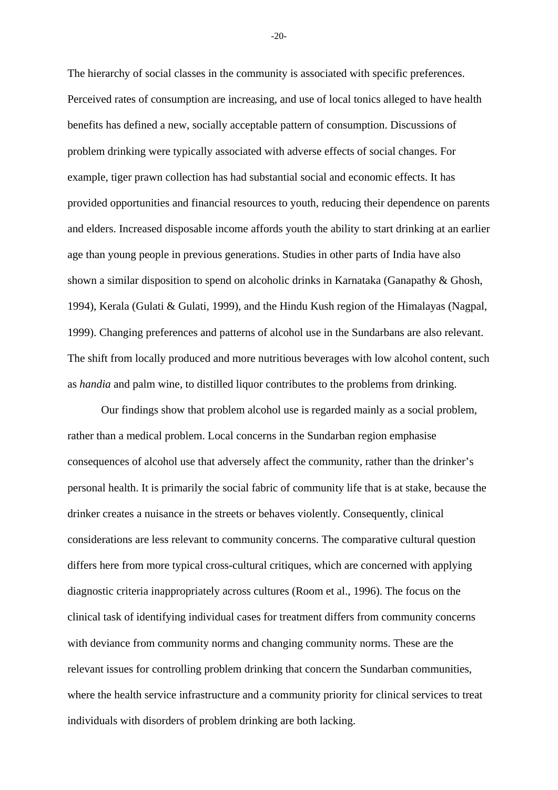The hierarchy of social classes in the community is associated with specific preferences. Perceived rates of consumption are increasing, and use of local tonics alleged to have health benefits has defined a new, socially acceptable pattern of consumption. Discussions of problem drinking were typically associated with adverse effects of social changes. For example, tiger prawn collection has had substantial social and economic effects. It has provided opportunities and financial resources to youth, reducing their dependence on parents and elders. Increased disposable income affords youth the ability to start drinking at an earlier age than young people in previous generations. Studies in other parts of India have also shown a similar disposition to spend on alcoholic drinks in Karnataka (Ganapathy  $\&$  Ghosh, 1994), Kerala (Gulati & Gulati, 1999), and the Hindu Kush region of the Himalayas (Nagpal, 1999). Changing preferences and patterns of alcohol use in the Sundarbans are also relevant. The shift from locally produced and more nutritious beverages with low alcohol content, such as *handia* and palm wine, to distilled liquor contributes to the problems from drinking.

Our findings show that problem alcohol use is regarded mainly as a social problem, rather than a medical problem. Local concerns in the Sundarban region emphasise consequences of alcohol use that adversely affect the community, rather than the drinker's personal health. It is primarily the social fabric of community life that is at stake, because the drinker creates a nuisance in the streets or behaves violently. Consequently, clinical considerations are less relevant to community concerns. The comparative cultural question differs here from more typical cross-cultural critiques, which are concerned with applying diagnostic criteria inappropriately across cultures (Room et al., 1996). The focus on the clinical task of identifying individual cases for treatment differs from community concerns with deviance from community norms and changing community norms. These are the relevant issues for controlling problem drinking that concern the Sundarban communities, where the health service infrastructure and a community priority for clinical services to treat individuals with disorders of problem drinking are both lacking.

-20-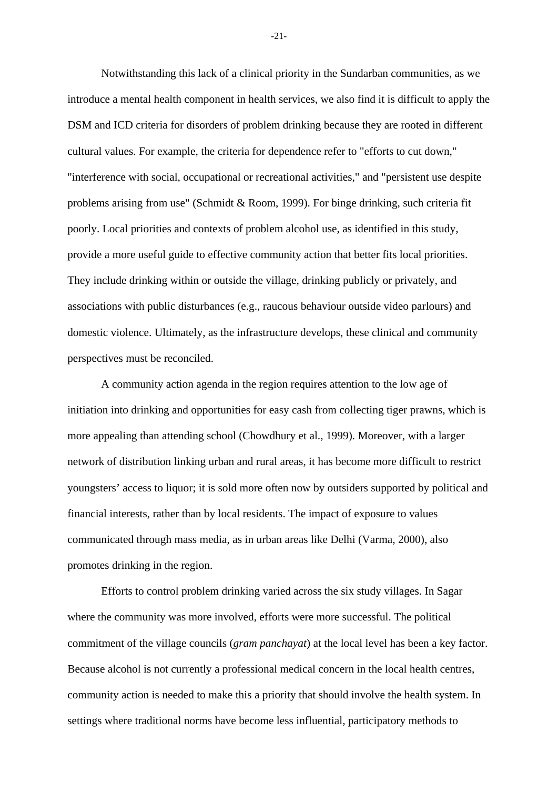Notwithstanding this lack of a clinical priority in the Sundarban communities, as we introduce a mental health component in health services, we also find it is difficult to apply the DSM and ICD criteria for disorders of problem drinking because they are rooted in different cultural values. For example, the criteria for dependence refer to "efforts to cut down," "interference with social, occupational or recreational activities," and "persistent use despite problems arising from use" (Schmidt & Room, 1999). For binge drinking, such criteria fit poorly. Local priorities and contexts of problem alcohol use, as identified in this study, provide a more useful guide to effective community action that better fits local priorities. They include drinking within or outside the village, drinking publicly or privately, and associations with public disturbances (e.g., raucous behaviour outside video parlours) and domestic violence. Ultimately, as the infrastructure develops, these clinical and community perspectives must be reconciled.

A community action agenda in the region requires attention to the low age of initiation into drinking and opportunities for easy cash from collecting tiger prawns, which is more appealing than attending school (Chowdhury et al., 1999). Moreover, with a larger network of distribution linking urban and rural areas, it has become more difficult to restrict youngsters' access to liquor; it is sold more often now by outsiders supported by political and financial interests, rather than by local residents. The impact of exposure to values communicated through mass media, as in urban areas like Delhi (Varma, 2000), also promotes drinking in the region.

Efforts to control problem drinking varied across the six study villages. In Sagar where the community was more involved, efforts were more successful. The political commitment of the village councils (*gram panchayat*) at the local level has been a key factor. Because alcohol is not currently a professional medical concern in the local health centres, community action is needed to make this a priority that should involve the health system. In settings where traditional norms have become less influential, participatory methods to

-21-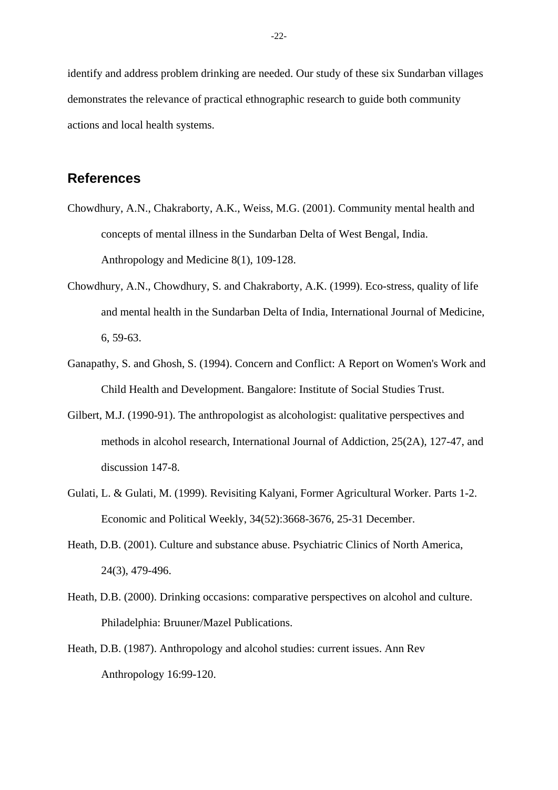identify and address problem drinking are needed. Our study of these six Sundarban villages demonstrates the relevance of practical ethnographic research to guide both community actions and local health systems.

## **References**

- Chowdhury, A.N., Chakraborty, A.K., Weiss, M.G. (2001). Community mental health and concepts of mental illness in the Sundarban Delta of West Bengal, India. Anthropology and Medicine 8(1), 109-128.
- Chowdhury, A.N., Chowdhury, S. and Chakraborty, A.K. (1999). Eco-stress, quality of life and mental health in the Sundarban Delta of India, International Journal of Medicine, 6, 59-63.
- Ganapathy, S. and Ghosh, S. (1994). Concern and Conflict: A Report on Women's Work and Child Health and Development. Bangalore: Institute of Social Studies Trust.
- Gilbert, M.J. (1990-91). The anthropologist as alcohologist: qualitative perspectives and methods in alcohol research, International Journal of Addiction, 25(2A), 127-47, and discussion 147-8.
- Gulati, L. & Gulati, M. (1999). Revisiting Kalyani, Former Agricultural Worker. Parts 1-2. Economic and Political Weekly, 34(52):3668-3676, 25-31 December.
- Heath, D.B. (2001). Culture and substance abuse. Psychiatric Clinics of North America, 24(3), 479-496.
- Heath, D.B. (2000). Drinking occasions: comparative perspectives on alcohol and culture. Philadelphia: Bruuner/Mazel Publications.
- Heath, D.B. (1987). Anthropology and alcohol studies: current issues. Ann Rev Anthropology 16:99-120.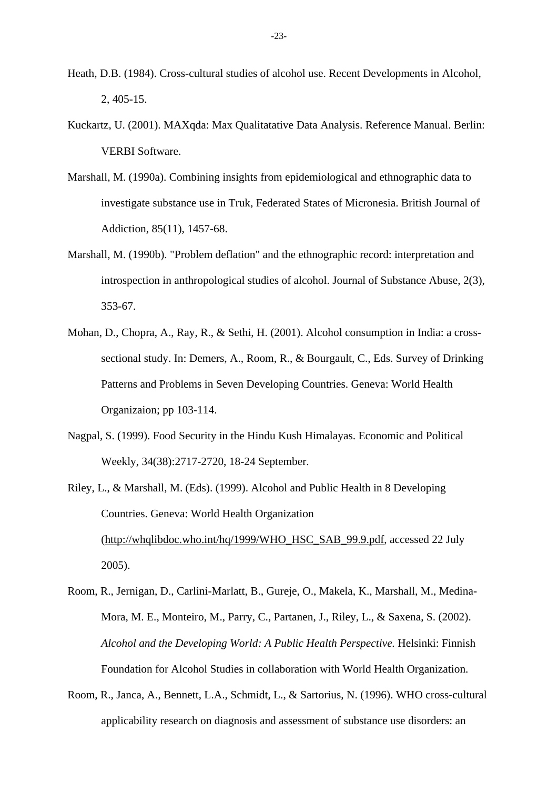- Heath, D.B. (1984). Cross-cultural studies of alcohol use. Recent Developments in Alcohol, 2, 405-15.
- Kuckartz, U. (2001). MAXqda: Max Qualitatative Data Analysis. Reference Manual. Berlin: VERBI Software.
- Marshall, M. (1990a). Combining insights from epidemiological and ethnographic data to investigate substance use in Truk, Federated States of Micronesia. British Journal of Addiction, 85(11), 1457-68.
- Marshall, M. (1990b). "Problem deflation" and the ethnographic record: interpretation and introspection in anthropological studies of alcohol. Journal of Substance Abuse, 2(3), 353-67.
- Mohan, D., Chopra, A., Ray, R., & Sethi, H. (2001). Alcohol consumption in India: a crosssectional study. In: Demers, A., Room, R., & Bourgault, C., Eds. Survey of Drinking Patterns and Problems in Seven Developing Countries. Geneva: World Health Organizaion; pp 103-114.
- Nagpal, S. (1999). Food Security in the Hindu Kush Himalayas. Economic and Political Weekly, 34(38):2717-2720, 18-24 September.

Riley, L., & Marshall, M. (Eds). (1999). Alcohol and Public Health in 8 Developing Countries. Geneva: World Health Organization (http://whqlibdoc.who.int/hq/1999/WHO\_HSC\_SAB\_99.9.pdf, accessed 22 July 2005).

- Room, R., Jernigan, D., Carlini-Marlatt, B., Gureje, O., Makela, K., Marshall, M., Medina-Mora, M. E., Monteiro, M., Parry, C., Partanen, J., Riley, L., & Saxena, S. (2002). *Alcohol and the Developing World: A Public Health Perspective.* Helsinki: Finnish Foundation for Alcohol Studies in collaboration with World Health Organization.
- Room, R., Janca, A., Bennett, L.A., Schmidt, L., & Sartorius, N. (1996). WHO cross-cultural applicability research on diagnosis and assessment of substance use disorders: an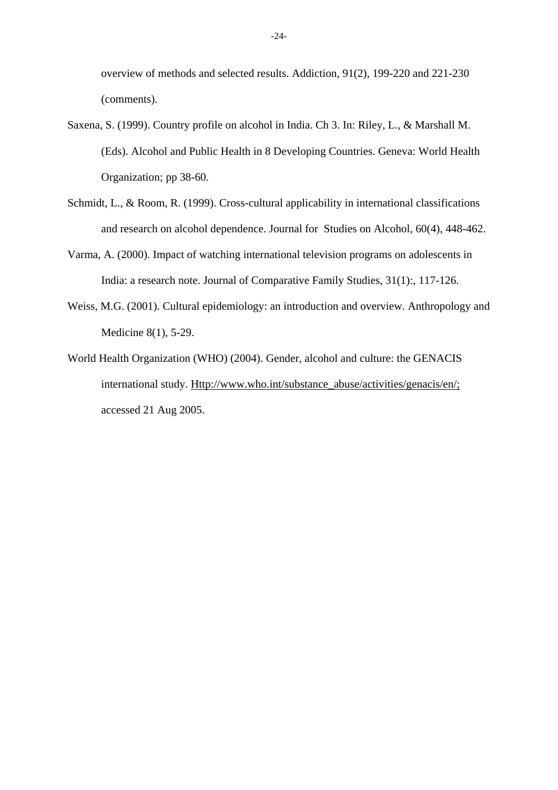overview of methods and selected results. Addiction, 91(2), 199-220 and 221-230 (comments).

- Saxena, S. (1999). Country profile on alcohol in India. Ch 3. In: Riley, L., & Marshall M. (Eds). Alcohol and Public Health in 8 Developing Countries. Geneva: World Health Organization; pp 38-60.
- Schmidt, L., & Room, R. (1999). Cross-cultural applicability in international classifications and research on alcohol dependence. Journal for Studies on Alcohol, 60(4), 448-462.
- Varma, A. (2000). Impact of watching international television programs on adolescents in India: a research note. Journal of Comparative Family Studies, 31(1):, 117-126.
- Weiss, M.G. (2001). Cultural epidemiology: an introduction and overview. Anthropology and Medicine 8(1), 5-29.
- World Health Organization (WHO) (2004). Gender, alcohol and culture: the GENACIS international study. Http://www.who.int/substance\_abuse/activities/genacis/en/; accessed 21 Aug 2005.